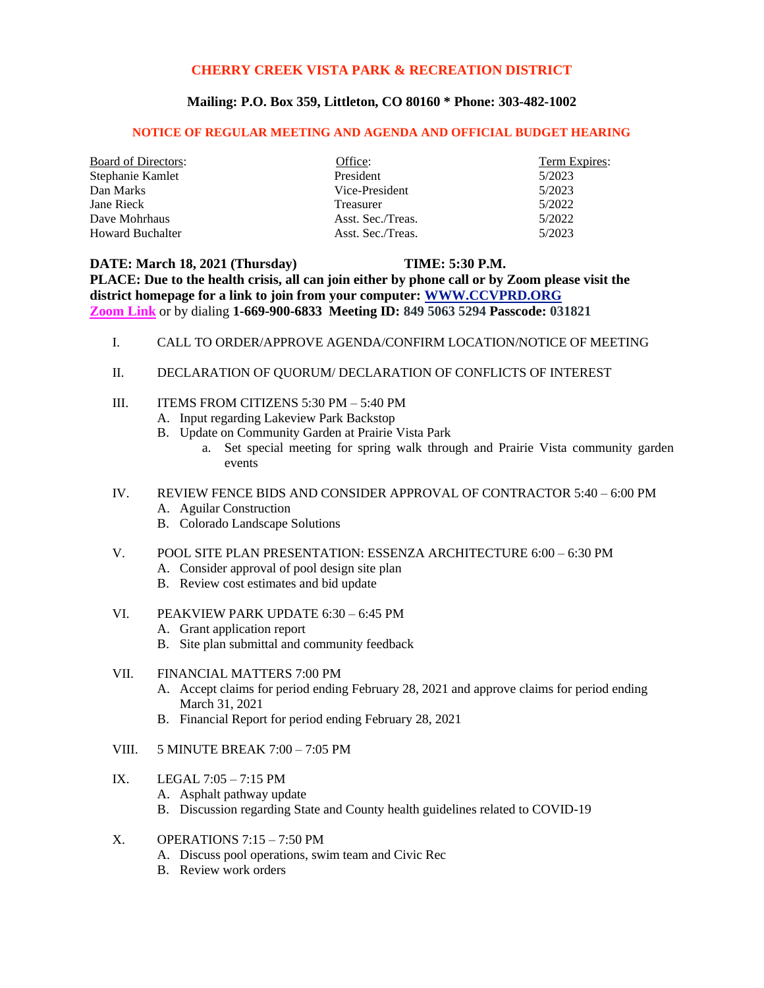## **CHERRY CREEK VISTA PARK & RECREATION DISTRICT**

## **Mailing: P.O. Box 359, Littleton, CO 80160 \* Phone: 303-482-1002**

## **NOTICE OF REGULAR MEETING AND AGENDA AND OFFICIAL BUDGET HEARING**

| <b>Board of Directors:</b> | Office:           | Term Expires: |
|----------------------------|-------------------|---------------|
| Stephanie Kamlet           | President         | 5/2023        |
| Dan Marks                  | Vice-President    | 5/2023        |
| Jane Rieck                 | <b>Treasurer</b>  | 5/2022        |
| Dave Mohrhaus              | Asst. Sec./Treas. | 5/2022        |
| <b>Howard Buchalter</b>    | Asst. Sec./Treas. | 5/2023        |

**DATE: March 18, 2021 (Thursday) TIME: 5:30 P.M. PLACE: Due to the health crisis, all can join either by phone call or by Zoom please visit the district homepage for a link to join from your computer: [WWW.CCVPRD.ORG](http://www.ccvprd.org/) [Zoom Link](https://us02web.zoom.us/j/84950635294?pwd=a0gybWRpYytGK1F4QytZdXpSVzR0Zz09)** or by dialing **1-669-900-6833 Meeting ID: 849 5063 5294 Passcode: 031821**

- I. CALL TO ORDER/APPROVE AGENDA/CONFIRM LOCATION/NOTICE OF MEETING
- II. DECLARATION OF QUORUM/ DECLARATION OF CONFLICTS OF INTEREST
- III. ITEMS FROM CITIZENS 5:30 PM 5:40 PM
	- A. Input regarding Lakeview Park Backstop
	- B. Update on Community Garden at Prairie Vista Park
		- a. Set special meeting for spring walk through and Prairie Vista community garden events
- IV. REVIEW FENCE BIDS AND CONSIDER APPROVAL OF CONTRACTOR 5:40 6:00 PM A. Aguilar Construction
	- B. Colorado Landscape Solutions
- V. POOL SITE PLAN PRESENTATION: ESSENZA ARCHITECTURE 6:00 6:30 PM
	- A. Consider approval of pool design site plan
	- B. Review cost estimates and bid update
- VI. PEAKVIEW PARK UPDATE 6:30 6:45 PM
	- A. Grant application report
	- B. Site plan submittal and community feedback

## VII. FINANCIAL MATTERS 7:00 PM

- A. Accept claims for period ending February 28, 2021 and approve claims for period ending March 31, 2021
- B. Financial Report for period ending February 28, 2021
- VIII. 5 MINUTE BREAK 7:00 7:05 PM
- IX. LEGAL 7:05 7:15 PM
	- A. Asphalt pathway update
	- B. Discussion regarding State and County health guidelines related to COVID-19
- $X.$  OPERATIONS  $7:15 7:50$  PM
	- A. Discuss pool operations, swim team and Civic Rec
	- B. Review work orders